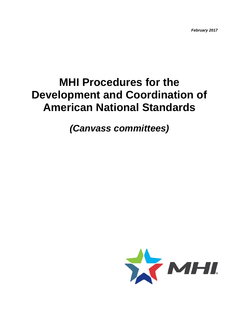*February 2017*

# **MHI Procedures for the Development and Coordination of American National Standards**

# *(Canvass committees)*

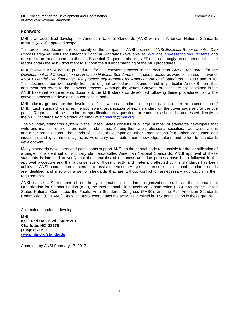# <span id="page-1-0"></span>**Foreword**

MHI is an accredited developer of American National Standards (ANS) within its American National Standards Institute (ANSI) approved scope.

This procedures document relies heavily on the companion ANSI document *ANSI Essential Requirements: Due Process Requirements for American National Standards* (available at [www.ansi.org/essentialrequirements](http://www.ansi.org/essentialrequirements) and referred to in this document either as Essential Requirements or as ER). It is strongly recommended that the reader obtain the ANSI document to support the full understanding of the MHI procedures.

MHI followed ANSI default procedures for the canvass process in the document *ANSI Procedures for the Development and Coordination of American National Standards* until those procedures were eliminated in favor of *ANSI Essential Requirements: Due process requirements for American National Standards* in 2003 and 2010. This document borrows heavily from the original procedures document and in particular Annex B from that document that refers to the Canvass process. Although the words "Canvass process" are not contained in the ANSI Essential Requirements document, the MHI standards developed following these procedures follow the canvass process for developing a consensus body.

MHI industry groups, are the developers of the various standards and specifications under the accreditation of MHI. Each standard identifies the sponsoring organization of each standard on the cover page and/or the title page. Regardless of the standard or specification, any questions or comments should be addressed directly to the MHI Standards Administrator via email at [standards@mhi.org.](mailto:standards@mhi.org)

The voluntary standards system in the United States consists of a large number of standards developers that write and maintain one or more national standards. Among them are professional societies, trade associations and other organizations. Thousands of individuals, companies, other organizations (e.g., labor, consumer, and industrial) and government agencies voluntarily contribute their knowledge, talent, and effort to standards development.

Many standards developers and participants support ANSI as the central body responsible for the identification of a single, consistent set of voluntary standards called American National Standards. ANSI approval of these standards is intended to verify that the principles of openness and due process have been followed in the approval procedure and that a consensus of those directly and materially affected by the standards has been achieved. ANSI coordination is intended to assist the voluntary system to ensure that national standards needs are identified and met with a set of standards that are without conflict or unnecessary duplication in their requirements.

ANSI is the U.S. member of non-treaty international standards organizations such as the International Organization for Standardization (ISO), the International Electrotechnical Commission (IEC) through the United States National Committee, the Pacific Area Standards Congress (PASC), and the Pan American Standards Commission (COPANT). As such, ANSI coordinates the activities involved in U.S. participation in these groups.

Accredited standards developer:

**MHI 8720 Red Oak Blvd., Suite 201 Charlotte, NC 28278 (704)676-1190 [www.mhi.org/standards](http://www.mhi.org/standards)**

Approved by ANSI February 17, 2017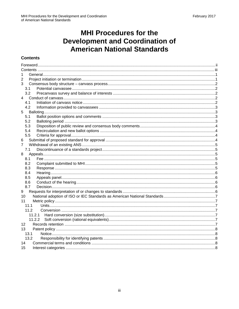# **MHI Procedures for the Development and Coordination of<br>American National Standards**

# <span id="page-2-0"></span>**Contents**

| 1               |  |  |
|-----------------|--|--|
| 2               |  |  |
| 3               |  |  |
| 3.1             |  |  |
| 3.2             |  |  |
| 4               |  |  |
| 4.1             |  |  |
| 4.2             |  |  |
| 5               |  |  |
| 5.1             |  |  |
| 5.2             |  |  |
| 5.3             |  |  |
| 5.4             |  |  |
| 5.5             |  |  |
| 6               |  |  |
| 7               |  |  |
| 7.1             |  |  |
| 8               |  |  |
| 8.1             |  |  |
| 8.2             |  |  |
| 8.3             |  |  |
| 8.4             |  |  |
| 8.5             |  |  |
| 8.6             |  |  |
| 8.7             |  |  |
| 9               |  |  |
| 10              |  |  |
| 11              |  |  |
| 11.1            |  |  |
| 11.2            |  |  |
|                 |  |  |
|                 |  |  |
| 12 <sup>2</sup> |  |  |
| 13              |  |  |
| 13.1            |  |  |
| 13.2            |  |  |
| 14              |  |  |
| 15              |  |  |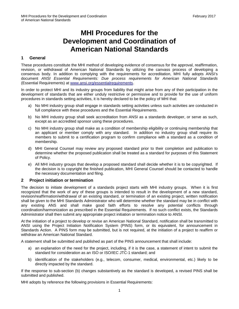# **MHI Procedures for the Development and Coordination of American National Standards**

# <span id="page-3-0"></span>**1 General**

These procedures constitute the MHI method of developing evidence of consensus for the approval, reaffirmation, revision, or withdrawal of American National Standards by utilizing the canvass process of developing a consensus body. In addition to complying with the requirements for accreditation, MHI fully adopts ANSI's document *ANSI Essential Requirements: Due process requirements for American National Standards*  (Essential Requirements) at [www.ansi.org/essentialrequirements.](http://www.ansi.org/essentialrequirements)

In order to protect MHI and its industry groups from liability that might arise from any of their participation in the development of standards that are either unduly restrictive or permissive and to provide for the use of uniform procedures in standards setting activities, it is hereby declared to be the policy of MHI that:

- a) No MHI industry group shall engage in standards setting activities unless such activities are conducted in full compliance with these procedures and the Essential Requirements.
- b) No MHI industry group shall seek accreditation from ANSI as a standards developer, or serve as such, except as an accredited sponsor using these procedures.
- c) No MHI industry group shall make as a condition of membership eligibility or continuing membership that an applicant or member comply with any standard. In addition no industry group shall require its members to submit to a certification program to confirm compliance with a standard as a condition of membership.
- d) MHI General Counsel may review any proposed standard prior to their completion and publication to determine whether the proposed publication shall be treated as a standard for purposes of this Statement of Policy.
- e) All MHI industry groups that develop a proposed standard shall decide whether it is to be copyrighted. If the decision is to copyright the finished publication, MHI General Counsel should be contacted to handle the necessary documentation and filing.

# <span id="page-3-1"></span>**2 Project initiation or termination**

The decision to initiate development of a standards project starts with MHI industry groups. When it is first recognized that the work of any of these groups is intended to result in the development of a new standard, revision/reaffirmation/withdrawal of an existing standard, or termination of an existing project, written notification shall be given to the MHI Standards Administrator who will determine whether the standard may be in conflict with any existing ANS and shall make good faith efforts to resolve any potential conflicts through coordination/harmonization as prescribed in the Essential Requirements. If no such conflict exists, the Standards Administrator shall then submit any appropriate project initiation or termination notice to ANSI.

At the initiation of a project to develop or revise an American National Standard, notification shall be transmitted to ANSI using the Project Initiation Notification System (PINS) form, or its equivalent, for announcement in Standards Action. A PINS form may be submitted, but is not required, at the initiation of a project to reaffirm or withdraw an American National Standard.

A statement shall be submitted and published as part of the PINS announcement that shall include:

- a) an explanation of the need for the project, including, if it is the case, a statement of intent to submit the standard for consideration as an ISO or ISO/IEC JTC-1 standard; and
- b) identification of the stakeholders (e.g., telecom, consumer, medical, environmental, etc.) likely to be directly impacted by the standard.

If the response to sub-section (b) changes substantively as the standard is developed, a revised PINS shall be submitted and published.

MHI adopts by reference the following provisions in Essential Requirements: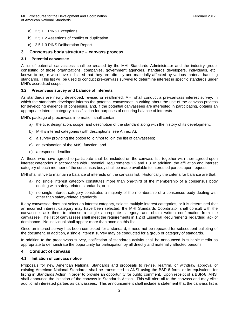- a) 2.5.1.1 PINS Exceptions
- b) 2.5.1.2 Assertions of conflict or duplication
- c) 2.5.1.3 PINS Deliberation Report

# <span id="page-4-0"></span>**3 Consensus body structure – canvass process**

#### <span id="page-4-1"></span>**3.1 Potential canvassee**

A list of potential canvassess shall be created by the MHI Standards Administrator and the industry group, consisting of those organizations, companies, government agencies, standards developers, individuals, etc., known to be, or who have indicated that they are, directly and materially affected by various material handling standards. This list will be used to conduct pre-canvass surveys to determine interest in specific standards under MHI's accredited scope.

#### <span id="page-4-2"></span>**3.2 Precanvass survey and balance of interests**

As standards are newly developed, revised or reaffirmed, MHI shall conduct a pre-canvass interest survey, in which the standards developer informs the potential canvassees in writing about the use of the canvass process for developing evidence of consensus, and, if the potential canvassees are interested in participating, obtains an appropriate interest category classification for purposes of ensuring balance of interests.

MHI's package of precanvass information shall contain:

- a) the title, designation, scope, and description of the standard along with the history of its development;
- b) MHI's interest categories (with descriptions, see Annex A);
- c) a survey providing the option to join/not to join the list of canvassees;
- d) an explanation of the ANSI function; and
- e) a response deadline.

All those who have agreed to participate shall be included on the canvass list, together with their agreed-upon interest categories in accordance with Essential Requirements 1.2 and 1.3. In addition, the affiliation and interest category of each member of the consensus body shall be made available to interested parties upon request.

MHI shall strive to maintain a balance of interests on the canvass list. Historically the criteria for balance are that:

- a) no single interest category constitutes more than one-third of the membership of a consensus body dealing with safety-related standards; or b
- b) no single interest category constitutes a majority of the membership of a consensus body dealing with other than safety-related standards.

If any canvassee does not select an interest category, selects multiple interest categories, or it is determined that an incorrect interest category may have been selected, the MHI Standards Coordinator shall consult with the canvassee, ask them to choose a single appropriate category, and obtain written confirmation from the canvassee. The list of canvassees shall meet the requirements in 1.2 of Essential Requirements regarding lack of dominance. No individual shall appear more than once on this list.

Once an interest survey has been completed for a standard, it need not be repeated for subsequent balloting of the document. In addition, a single interest survey may be conducted for a group or category of standards.

In addition to the precanvass survey, notification of standards activity shall be announced in suitable media as appropriate to demonstrate the opportunity for participation by all directly and materially affected persons.

# <span id="page-4-3"></span>**4 Conduct of canvass**

#### <span id="page-4-4"></span>**4.1 Initiation of canvass notice**

Proposals for new American National Standards and proposals to revise, reaffirm, or withdraw approval of existing American National Standards shall be transmitted to ANSI using the BSR-8 form, or its equivalent, for listing in Standards Action in order to provide an opportunity for public comment. Upon receipt of a BSR-8, ANSI shall announce the initiation of the canvass in Standards Action. This will alert all to the canvass and may elicit additional interested parties as canvassees. This announcement shall include a statement that the canvass list is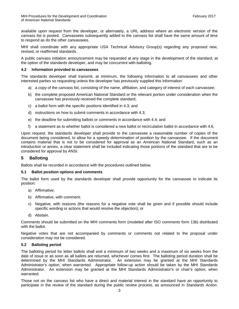available upon request from the developer, or alternately, a URL address where an electronic version of the canvass list is posted. Canvassees subsequently added to the canvass list shall have the same amount of time to respond as do the other canvassees.

MHI shall coordinate with any appropriate USA Technical Advisory Group(s) regarding any proposed new, revised, or reaffirmed standards.

A public canvass initiation announcement may be requested at any stage in the development of the standard, at the option of the standards developer, and may be concurrent with balloting.

#### <span id="page-5-0"></span>**4.2 Information provided to canvassees**

The standards developer shall transmit, at minimum, the following information to all canvassees and other interested parties so requesting unless the developer has previously supplied this information:

- a) a copy of the canvass list, consisting of the name, affiliation, and category of interest of each canvassee;
- b) the complete proposed American National Standard or the relevant portion under consideration when the canvassee has previously received the complete standard;
- c) a ballot form with the specific positions identified in 4.3; and
- d) instructions on how to submit comments in accordance with 4.3;
- e) the deadline for submitting ballots or comments in accordance with 4.4; and
- f) a statement as to whether ballot is considered a new ballot or recirculation ballot in accordance with 4.6.

Upon request, the standards developer shall provide to the canvassee a reasonable number of copies of the document being considered, to allow for a speedy determination of position by the canvassee. If the document contains material that is not to be considered for approval as an American National Standard, such as an introduction or annex, a clear statement shall be included indicating those portions of the standard that are to be considered for approval by ANSI.

#### <span id="page-5-1"></span>**5 Balloting**

Ballots shall be recorded in accordance with the procedures outlined below.

#### <span id="page-5-2"></span>**5.1 Ballot position options and comments**

The ballot form used by the standards developer shall provide opportunity for the canvassee to indicate its position:

- a) Affirmative;
- b) Affirmative, with comment;
- c) Negative, with reasons (the reasons for a negative vote shall be given and if possible should include specific wording or actions that would resolve the objection); or
- d) Abstain.

Comments should be submitted on the MHI comments form (modeled after ISO comments form 13b) distributed with the ballot.

Negative votes that are not accompanied by comments or comments not related to the proposal under consideration may not be considered.

#### <span id="page-5-3"></span>**5.2 Balloting period**

The balloting period for letter ballots shall end a minimum of two weeks and a maximum of six weeks from the date of issue or as soon as all ballots are returned, whichever comes first. The balloting period duration shall be determined by the MHI Standards Administrator. An extension may be granted at the MHI Standards Administrator's option, when warranted. Appropriate follow-up action should be taken by the MHI Standards Administrator. An extension may be granted at the MHI Standards Administrator's or chair's option, when warranted.

Those not on the canvass list who have a direct and material interest in the standard have an opportunity to participate in the review of the standard during the public review process, as announced in *Standards Action*.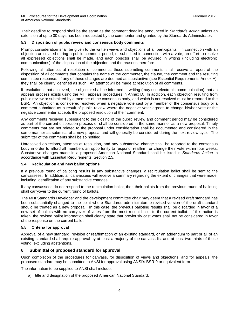Their deadline to respond shall be the same as the comment deadline announced in *Standards Action* unless an extension of up to 30 days has been requested by the commenter and granted by the Standards Administrator.

#### <span id="page-6-0"></span>**5.3 Disposition of public review and consensus body comments**

Prompt consideration shall be given to the written views and objections of all participants. In connection with an objection articulated during a public comment period, or submitted in connection with a vote, an effort to resolve all expressed objections shall be made, and each objector shall be advised in writing (including electronic communications) of the disposition of the objection and the reasons therefore.

Following all attempts at resolution of comments, those submitting comments shall receive a report of the disposition of all comments that contains the name of the commenter, the clause, the comment and the resulting committee response. If any of these changes are deemed as substantive (see Essential Requirements Annex A), they shall be clearly identified as such. An attempt will be made at resolution of all comments.

If resolution is not achieved, the objector shall be informed in writing (may use electronic communication) that an appeals process exists using the MHI appeals procedures in Annex D. In addition, each objection resulting from public review or submitted by a member of the consensus body, and which is not resolved must be reported to the BSR. An objection is considered resolved when a negative vote cast by a member of the consensus body or a comment submitted as a result of public review where the negative voter agrees to change his/her vote or the negative commenter accepts the proposed resolution of their comment.

Any comments received subsequent to the closing of the public review and comment period may be considered as part of the current disposition process or shall be considered in the same manner as a new proposal. Timely comments that are not related to the proposal under consideration shall be documented and considered in the same manner as submittal of a new proposal and will generally be considered during the next review cycle. The submitter of the comments shall be so notified.

Unresolved objections, attempts at resolution, and any substantive change shall be reported to the consensus body in order to afford all members an opportunity to respond, reaffirm, or change their vote within four weeks. Substantive changes made in a proposed American National Standard shall be listed in *Standards Action* in accordance with Essential Requirements, Section 2.5.

#### <span id="page-6-1"></span>**5.4 Recirculation and new ballot options**

If a previous round of balloting results in any substantive changes, a recirculation ballot shall be sent to the canvassees. In addition, all canvassees will receive a summary regarding the extent of changes that were made, including identification of any substantive changes.

If any canvassees do not respond to the recirculation ballot, then their ballots from the previous round of balloting shall carryover to the current round of ballots.

The MHI Standards Developer and the development committee chair may deem that a revised draft standard has been substantially changed to the point where Standards administratorthe revised version of the draft standard should be treated as a new proposal. In this case, the previous balloting results shall be discarded in favor of a new set of ballots with no carryover of votes from the most recent ballot to the current ballot. If this action is taken, the revised ballot information shall clearly state that previously cast votes shall not be considered in favor of the response on the current ballot.

# <span id="page-6-2"></span>**5.5 Criteria for approval**

Approval of a new standard, revision or reaffirmation of an existing standard, or an addendum to part or all of an existing standard shall require approval by at least a majority of the canvass list and at least two-thirds of those voting, excluding abstentions.

# <span id="page-6-3"></span>**6 Submittal of proposed standard for approval**

Upon completion of the procedures for canvass, for disposition of views and objections, and for appeals, the proposed standard may be submitted to ANSI for approval using ANSI's BSR-9 or equivalent form.

The information to be supplied to ANSI shall include:

a) title and designation of the proposed American National Standard;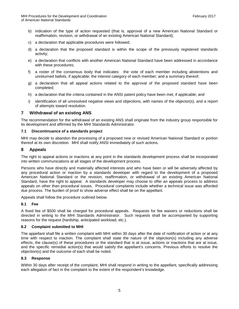- b) indication of the type of action requested (that is, approval of a new American National Standard or reaffirmation, revision, or withdrawal of an existing American National Standard);
- c) a declaration that applicable procedures were followed;
- d) a declaration that the proposed standard is within the scope of the previously registered standards activity;
- e) a declaration that conflicts with another American National Standard have been addressed in accordance with these procedures;
- f) a roster of the consensus body that indicates: the vote of each member including abstentions and unreturned ballots, if applicable; the interest category of each member; and a summary thereof;
- g) a declaration that all appeal actions related to the approval of the proposed standard have been completed;
- h) a declaration that the criteria contained in the ANSI patent policy have been met, if applicable; and
- i) identification of all unresolved negative views and objections, with names of the objector(s), and a report of attempts toward resolution.

# <span id="page-7-0"></span>**7 Withdrawal of an existing ANS**

The recommendation for the withdrawal of an existing ANS shall originate from the industry group responsible for its development and affirmed by the MHI Standards Administrator.

#### <span id="page-7-1"></span>**7.1 Discontinuance of a standards project**

MHI may decide to abandon the processing of a proposed new or revised American National Standard or portion thereof at its own discretion. MHI shall notify ANSI immediately of such actions.

# <span id="page-7-2"></span>**8 Appeals**

The right to appeal actions or inactions at any point in the standards development process shall be incorporated into written communications at all stages of the development process.

Persons who have directly and materially affected interests and who have been or will be adversely affected by any procedural action or inaction by a standards developer with regard to the development of a proposed American National Standard or the revision, reaffirmation, or withdrawal of an existing American National Standard, have the right to appeal. A standards developer may choose to offer an appeals process to address appeals on other than procedural issues. Procedural complaints include whether a technical issue was afforded due process. The burden of proof to show adverse effect shall be on the appellant.

Appeals shall follow the procedure outlined below.

# <span id="page-7-3"></span>**8.1 Fee**

A fixed fee of \$500 shall be charged for procedural appeals. Requests for fee waivers or reductions shall be directed in writing to the MHI Standards Administrator. Such requests shall be accompanied by supporting reasons for the request (hardship, anticipated workload, etc.).

#### <span id="page-7-4"></span>**8.2 Complaint submitted to MHI**

The appellant shall file a written complaint with MHI within 30 days after the date of notification of action or at any time with respect to inaction. The complaint shall state the nature of the objection(s) including any adverse effects, the clause(s) of these procedures or the standard that is at issue, actions or inactions that are at issue, and the specific remedial action(s) that would satisfy the appellant's concerns. Previous efforts to resolve the objection(s) and the outcome of each shall be noted.

#### <span id="page-7-5"></span>**8.3 Response**

Within 30 days after receipt of the complaint, MHI shall respond in writing to the appellant, specifically addressing each allegation of fact in the complaint to the extent of the respondent's knowledge.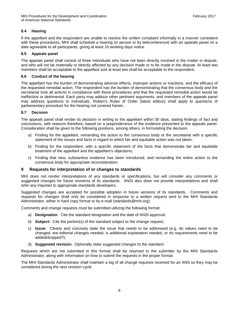# <span id="page-8-0"></span>**8.4 Hearing**

If the appellant and the respondent are unable to resolve the written complaint informally in a manner consistent with these procedures, MHI shall schedule a hearing (in person or by teleconference) with an appeals panel on a date agreeable to all participants, giving at least 10 working days notice.

# <span id="page-8-1"></span>**8.5 Appeals panel**

The appeals panel shall consist of three individuals who have not been directly involved in the matter in dispute, and who will not be materially or directly affected by any decision made or to be made in the dispute. At least two members shall be acceptable to the appellant and at least two shall be acceptable to the respondent.

#### <span id="page-8-2"></span>**8.6 Conduct of the hearing**

The appellant has the burden of demonstrating adverse effects, improper actions or inactions, and the efficacy of the requested remedial action. The respondent has the burden of demonstrating that the consensus body and the secretariat took all actions in compliance with these procedures and that the requested remedial action would be ineffective or detrimental. Each party may adduce other pertinent arguments, and members of the appeals panel may address questions to individuals. Robert's Rules of Order (latest edition) shall apply to questions of parliamentary procedure for the hearing not covered herein.

#### <span id="page-8-3"></span>**8.7 Decision**

The appeals panel shall render its decision in writing to the appellant within 30 days, stating findings of fact and conclusions, with reasons therefore, based on a preponderance of the evidence presented to the appeals panel. Consideration shall be given to the following positions, among others, in formulating the decision:

- a) Finding for the appellant, remanding the action to the consensus body or the secretariat with a specific statement of the issues and facts in regard to which fair and equitable action was not taken;
- b) Finding for the respondent, with a specific statement of the facts that demonstrate fair and equitable treatment of the appellant and the appellant's objections;
- c) Finding that new, substantive evidence has been introduced, and remanding the entire action to the consensus body for appropriate reconsideration.

# <span id="page-8-4"></span>**9 Requests for interpretation of or changes to standards**

MHI does not render interpretations of any standards or specifications, but will consider any comments or suggested changes for future revisions of its standards. ANSI also does not provide interpretations and shall refer any inquiries to appropriate standards developers.

Suggested changes are accepted for possible adoption in future versions of its standards. Comments and requests for changes shall only be considered in response to a written request sent to the MHI Standards Administrator, either in hard copy format or by e-mail (standards@mhi.org):

Comments and change requests must be submitted utilizing the following format:

- a) **Designation**: Cite the standard designation and the date of ANSI approval;
- b) **Subject:** Cite the portion(s) of the standard subject to the change request;
- c) **Issue:** Clearly and concisely state the issue that needs to be addressed (e.g. do values need to be changed, are editorial changes needed, is additional explanation needed, or do requirements need to be added/dropped?);
- d) **Suggested revision:** Optionally state suggested changes to the standard.

Requests which are not submitted in this format shall be returned to the submitter by the MHI Standards Administrator, along with information on how to submit the requests in the proper format.

The MHI Standards Administrator shall maintain a log of all change requests received for an ANS so they may be considered during the next revision cycle.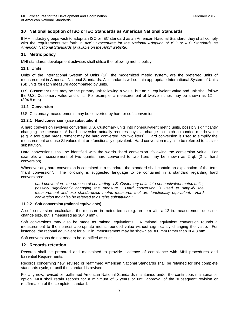# <span id="page-9-0"></span>**10 National adoption of ISO or IEC Standards as American National Standards**

If MHI industry groups wish to adopt an ISO or IEC standard as an American National Standard, they shall comply with the requirements set forth in *ANSI Procedures for the National Adoption of ISO or IEC Standards as American National Standards (available on the ANSI website)*.

#### <span id="page-9-1"></span>**11 Metric policy**

MHI standards development activities shall utilize the following metric policy.

#### <span id="page-9-2"></span>**11.1 Units**

Units of the International System of Units (SI), the modernized metric system, are the preferred units of measurement in American National Standards. All standards will contain appropriate International System of Units (SI) units for each measure accompanied by units.

U.S. Customary units may be the primary unit following a value, but an SI equivalent value and unit shall follow the U.S. Customary value and unit. For example, a measurement of twelve inches may be shown as 12 in. (304.8 mm).

#### <span id="page-9-3"></span>**11.2 Conversion**

U.S. Customary measurements may be converted by hard or soft conversion.

#### <span id="page-9-4"></span>**11.2.1 Hard conversion (size substitution)**

A hard conversion involves converting U.S. Customary units into nonequivalent metric units, possibly significantly changing the measure. A hard conversion actually requires physical change to match a rounded metric value (e.g. a two quart measurement may be hard converted into two liters). Hard conversion is used to simplify the measurement and use SI values that are functionally equivalent. Hard conversion may also be referred to as size substitution.

Hard conversions shall be identified with the words "hard conversion" following the conversion value. For example, a measurement of two quarts, hard converted to two liters may be shown as 2 qt. (2 L, hard conversion).

Whenever any hard conversion is contained in a standard, the standard shall contain an explanation of the term "hard conversion". The following is suggested language to be contained in a standard regarding hard conversions:

*hard conversion: the process of converting U.S. Customary units into nonequivalent metric units, possibly significantly changing the measure. Hard conversion is used to simplify the measurement and use standardized metric measures that are functionally equivalent. Hard conversion may also be referred to as "size substitution."*

#### <span id="page-9-5"></span>**11.2.2 Soft conversion (rational equivalents)**

A soft conversion recalculates the measure in metric terms (e.g. an item with a 12 in. measurement does not change size, but is measured as 304.8 mm).

Soft conversions may also be made as rational equivalents. A rational equivalent conversion rounds a measurement to the nearest appropriate metric rounded value without significantly changing the value. For instance, the rational equivalent for a 12 in. measurement may be shown as 300 mm rather than 304.8 mm.

Soft conversions do not need to be identified as such.

#### <span id="page-9-6"></span>**12 Records retention**

Records shall be prepared and maintained to provide evidence of compliance with MHI procedures and Essential Requirements.

Records concerning new, revised or reaffirmed American National Standards shall be retained for one complete standards cycle, or until the standard is revised.

For any new, revised or reaffirmed American National Standards maintained under the continuous maintenance option, MHI shall retain records for a minimum of 5 years or until approval of the subsequent revision or reaffirmation of the complete standard.